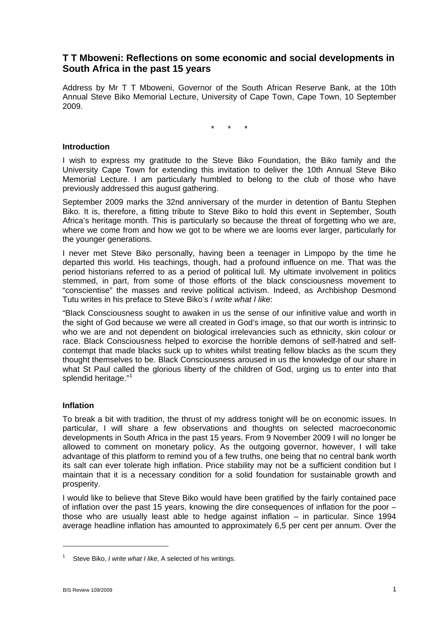# **T T Mboweni: Reflections on some economic and social developments in South Africa in the past 15 years**

Address by Mr T T Mboweni, Governor of the South African Reserve Bank, at the 10th Annual Steve Biko Memorial Lecture, University of Cape Town, Cape Town, 10 September 2009.

\* \* \*

### **Introduction**

I wish to express my gratitude to the Steve Biko Foundation, the Biko family and the University Cape Town for extending this invitation to deliver the 10th Annual Steve Biko Memorial Lecture. I am particularly humbled to belong to the club of those who have previously addressed this august gathering.

September 2009 marks the 32nd anniversary of the murder in detention of Bantu Stephen Biko. It is, therefore, a fitting tribute to Steve Biko to hold this event in September, South Africa's heritage month. This is particularly so because the threat of forgetting who we are, where we come from and how we got to be where we are looms ever larger, particularly for the younger generations.

I never met Steve Biko personally, having been a teenager in Limpopo by the time he departed this world. His teachings, though, had a profound influence on me. That was the period historians referred to as a period of political lull. My ultimate involvement in politics stemmed, in part, from some of those efforts of the black consciousness movement to "conscientise" the masses and revive political activism. Indeed, as Archbishop Desmond Tutu writes in his preface to Steve Biko's *I write what I like*:

"Black Consciousness sought to awaken in us the sense of our infinitive value and worth in the sight of God because we were all created in God's image, so that our worth is intrinsic to who we are and not dependent on biological irrelevancies such as ethnicity, skin colour or race. Black Consciousness helped to exorcise the horrible demons of self-hatred and selfcontempt that made blacks suck up to whites whilst treating fellow blacks as the scum they thought themselves to be. Black Consciousness aroused in us the knowledge of our share in what St Paul called the glorious liberty of the children of God, urging us to enter into that splendid heritage."<sup>[1](#page-0-0)</sup>

#### **Inflation**

To break a bit with tradition, the thrust of my address tonight will be on economic issues. In particular, I will share a few observations and thoughts on selected macroeconomic developments in South Africa in the past 15 years. From 9 November 2009 I will no longer be allowed to comment on monetary policy. As the outgoing governor, however, I will take advantage of this platform to remind you of a few truths, one being that no central bank worth its salt can ever tolerate high inflation. Price stability may not be a sufficient condition but I maintain that it is a necessary condition for a solid foundation for sustainable growth and prosperity.

I would like to believe that Steve Biko would have been gratified by the fairly contained pace of inflation over the past 15 years, knowing the dire consequences of inflation for the poor – those who are usually least able to hedge against inflation – in particular. Since 1994 average headline inflation has amounted to approximately 6,5 per cent per annum. Over the

<u>.</u>

<span id="page-0-0"></span><sup>1</sup> Steve Biko, *I write what I like*, A selected of his writings.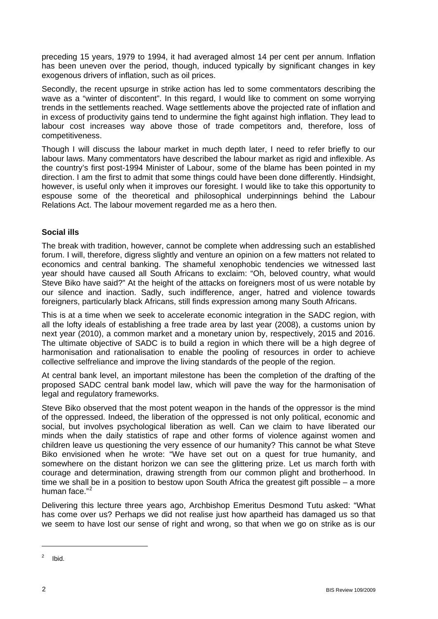preceding 15 years, 1979 to 1994, it had averaged almost 14 per cent per annum. Inflation has been uneven over the period, though, induced typically by significant changes in key exogenous drivers of inflation, such as oil prices.

Secondly, the recent upsurge in strike action has led to some commentators describing the wave as a "winter of discontent". In this regard, I would like to comment on some worrying trends in the settlements reached. Wage settlements above the projected rate of inflation and in excess of productivity gains tend to undermine the fight against high inflation. They lead to labour cost increases way above those of trade competitors and, therefore, loss of competitiveness.

Though I will discuss the labour market in much depth later, I need to refer briefly to our labour laws. Many commentators have described the labour market as rigid and inflexible. As the country's first post-1994 Minister of Labour, some of the blame has been pointed in my direction. I am the first to admit that some things could have been done differently. Hindsight, however, is useful only when it improves our foresight. I would like to take this opportunity to espouse some of the theoretical and philosophical underpinnings behind the Labour Relations Act. The labour movement regarded me as a hero then.

### **Social ills**

The break with tradition, however, cannot be complete when addressing such an established forum. I will, therefore, digress slightly and venture an opinion on a few matters not related to economics and central banking. The shameful xenophobic tendencies we witnessed last year should have caused all South Africans to exclaim: "Oh, beloved country, what would Steve Biko have said?" At the height of the attacks on foreigners most of us were notable by our silence and inaction. Sadly, such indifference, anger, hatred and violence towards foreigners, particularly black Africans, still finds expression among many South Africans.

This is at a time when we seek to accelerate economic integration in the SADC region, with all the lofty ideals of establishing a free trade area by last year (2008), a customs union by next year (2010), a common market and a monetary union by, respectively, 2015 and 2016. The ultimate objective of SADC is to build a region in which there will be a high degree of harmonisation and rationalisation to enable the pooling of resources in order to achieve collective selfreliance and improve the living standards of the people of the region.

At central bank level, an important milestone has been the completion of the drafting of the proposed SADC central bank model law, which will pave the way for the harmonisation of legal and regulatory frameworks.

Steve Biko observed that the most potent weapon in the hands of the oppressor is the mind of the oppressed. Indeed, the liberation of the oppressed is not only political, economic and social, but involves psychological liberation as well. Can we claim to have liberated our minds when the daily statistics of rape and other forms of violence against women and children leave us questioning the very essence of our humanity? This cannot be what Steve Biko envisioned when he wrote: "We have set out on a quest for true humanity, and somewhere on the distant horizon we can see the glittering prize. Let us march forth with courage and determination, drawing strength from our common plight and brotherhood. In time we shall be in a position to bestow upon South Africa the greatest gift possible – a more human face."<sup>[2](#page-1-0)</sup>

Delivering this lecture three years ago, Archbishop Emeritus Desmond Tutu asked: "What has come over us? Perhaps we did not realise just how apartheid has damaged us so that we seem to have lost our sense of right and wrong, so that when we go on strike as is our

 $\overline{a}$ 

<span id="page-1-0"></span> $2$  Ibid.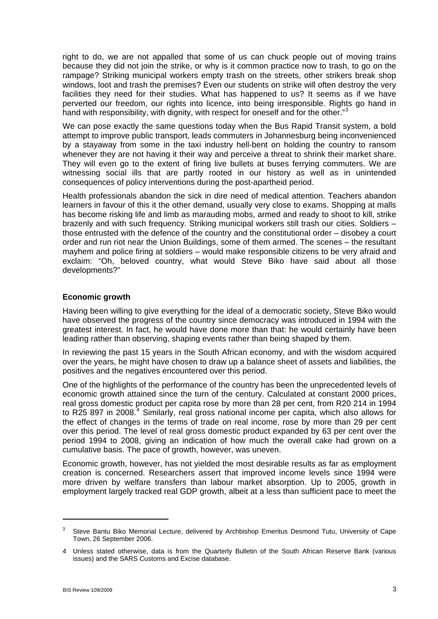right to do, we are not appalled that some of us can chuck people out of moving trains because they did not join the strike, or why is it common practice now to trash, to go on the rampage? Striking municipal workers empty trash on the streets, other strikers break shop windows, loot and trash the premises? Even our students on strike will often destroy the very facilities they need for their studies. What has happened to us? It seems as if we have perverted our freedom, our rights into licence, into being irresponsible. Rights go hand in hand with responsibility, with dignity, with respect for oneself and for the other."<sup>[3](#page-2-0)</sup>

We can pose exactly the same questions today when the Bus Rapid Transit system, a bold attempt to improve public transport, leads commuters in Johannesburg being inconvenienced by a stayaway from some in the taxi industry hell-bent on holding the country to ransom whenever they are not having it their way and perceive a threat to shrink their market share. They will even go to the extent of firing live bullets at buses ferrying commuters. We are witnessing social ills that are partly rooted in our history as well as in unintended consequences of policy interventions during the post-apartheid period.

Health professionals abandon the sick in dire need of medical attention. Teachers abandon learners in favour of this it the other demand, usually very close to exams. Shopping at malls has become risking life and limb as marauding mobs, armed and ready to shoot to kill, strike brazenly and with such frequency. Striking municipal workers still trash our cities. Soldiers – those entrusted with the defence of the country and the constitutional order – disobey a court order and run riot near the Union Buildings, some of them armed. The scenes – the resultant mayhem and police firing at soldiers – would make responsible citizens to be very afraid and exclaim: "Oh, beloved country, what would Steve Biko have said about all those developments?"

### **Economic growth**

Having been willing to give everything for the ideal of a democratic society, Steve Biko would have observed the progress of the country since democracy was introduced in 1994 with the greatest interest. In fact, he would have done more than that: he would certainly have been leading rather than observing, shaping events rather than being shaped by them.

In reviewing the past 15 years in the South African economy, and with the wisdom acquired over the years, he might have chosen to draw up a balance sheet of assets and liabilities, the positives and the negatives encountered over this period.

One of the highlights of the performance of the country has been the unprecedented levels of economic growth attained since the turn of the century. Calculated at constant 2000 prices, real gross domestic product per capita rose by more than 28 per cent, from R20 214 in 1994 to R25 897 in 2008.<sup>[4](#page-2-1)</sup> Similarly, real gross national income per capita, which also allows for the effect of changes in the terms of trade on real income, rose by more than 29 per cent over this period. The level of real gross domestic product expanded by 63 per cent over the period 1994 to 2008, giving an indication of how much the overall cake had grown on a cumulative basis. The pace of growth, however, was uneven.

Economic growth, however, has not yielded the most desirable results as far as employment creation is concerned. Researchers assert that improved income levels since 1994 were more driven by welfare transfers than labour market absorption. Up to 2005, growth in employment largely tracked real GDP growth, albeit at a less than sufficient pace to meet the

1

<span id="page-2-0"></span><sup>3</sup> Steve Bantu Biko Memorial Lecture, delivered by Archbishop Emeritus Desmond Tutu, University of Cape Town, 26 September 2006.

<span id="page-2-1"></span><sup>4</sup> Unless stated otherwise, data is from the Quarterly Bulletin of the South African Reserve Bank (various issues) and the SARS Customs and Excise database.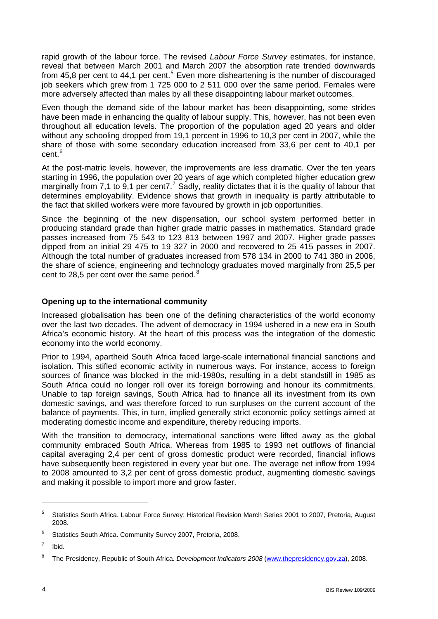rapid growth of the labour force. The revised *Labour Force Survey* estimates, for instance, reveal that between March 2001 and March 2007 the absorption rate trended downwards from 4[5](#page-3-0),8 per cent to 44,1 per cent.<sup>5</sup> Even more disheartening is the number of discouraged job seekers which grew from 1 725 000 to 2 511 000 over the same period. Females were more adversely affected than males by all these disappointing labour market outcomes.

Even though the demand side of the labour market has been disappointing, some strides have been made in enhancing the quality of labour supply. This, however, has not been even throughout all education levels. The proportion of the population aged 20 years and older without any schooling dropped from 19,1 percent in 1996 to 10,3 per cent in 2007, while the share of those with some secondary education increased from 33,6 per cent to 40,1 per cent.<sup>[6](#page-3-1)</sup>

At the post-matric levels, however, the improvements are less dramatic. Over the ten years starting in 1996, the population over 20 years of age which completed higher education grew marginally from [7](#page-3-2),1 to 9,1 per cent7.<sup>7</sup> Sadly, reality dictates that it is the quality of labour that determines employability. Evidence shows that growth in inequality is partly attributable to the fact that skilled workers were more favoured by growth in job opportunities.

Since the beginning of the new dispensation, our school system performed better in producing standard grade than higher grade matric passes in mathematics. Standard grade passes increased from 75 543 to 123 813 between 1997 and 2007. Higher grade passes dipped from an initial 29 475 to 19 327 in 2000 and recovered to 25 415 passes in 2007. Although the total number of graduates increased from 578 134 in 2000 to 741 380 in 2006, the share of science, engineering and technology graduates moved marginally from 25,5 per cent to 2[8](#page-3-3).5 per cent over the same period. $8<sup>8</sup>$ 

## **Opening up to the international community**

Increased globalisation has been one of the defining characteristics of the world economy over the last two decades. The advent of democracy in 1994 ushered in a new era in South Africa's economic history. At the heart of this process was the integration of the domestic economy into the world economy.

Prior to 1994, apartheid South Africa faced large-scale international financial sanctions and isolation. This stifled economic activity in numerous ways. For instance, access to foreign sources of finance was blocked in the mid-1980s, resulting in a debt standstill in 1985 as South Africa could no longer roll over its foreign borrowing and honour its commitments. Unable to tap foreign savings, South Africa had to finance all its investment from its own domestic savings, and was therefore forced to run surpluses on the current account of the balance of payments. This, in turn, implied generally strict economic policy settings aimed at moderating domestic income and expenditure, thereby reducing imports.

With the transition to democracy, international sanctions were lifted away as the global community embraced South Africa. Whereas from 1985 to 1993 net outflows of financial capital averaging 2,4 per cent of gross domestic product were recorded, financial inflows have subsequently been registered in every year but one. The average net inflow from 1994 to 2008 amounted to 3,2 per cent of gross domestic product, augmenting domestic savings and making it possible to import more and grow faster.

 $\overline{a}$ 

<span id="page-3-0"></span><sup>5</sup> Statistics South Africa. Labour Force Survey: Historical Revision March Series 2001 to 2007, Pretoria, August 2008.

<span id="page-3-1"></span><sup>6</sup> Statistics South Africa. Community Survey 2007, Pretoria, 2008.

<span id="page-3-2"></span><sup>7</sup> Ibid.

<span id="page-3-3"></span><sup>8</sup> The Presidency, Republic of South Africa. *Development Indicators 2008* ([www.thepresidency.gov.za](http://www.thepresidency.gov.za/)), 2008.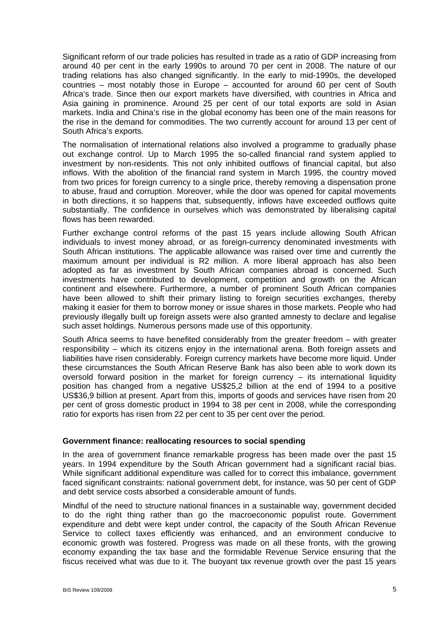Significant reform of our trade policies has resulted in trade as a ratio of GDP increasing from around 40 per cent in the early 1990s to around 70 per cent in 2008. The nature of our trading relations has also changed significantly. In the early to mid-1990s, the developed countries – most notably those in Europe – accounted for around 60 per cent of South Africa's trade. Since then our export markets have diversified, with countries in Africa and Asia gaining in prominence. Around 25 per cent of our total exports are sold in Asian markets. India and China's rise in the global economy has been one of the main reasons for the rise in the demand for commodities. The two currently account for around 13 per cent of South Africa's exports.

The normalisation of international relations also involved a programme to gradually phase out exchange control. Up to March 1995 the so-called financial rand system applied to investment by non-residents. This not only inhibited outflows of financial capital, but also inflows. With the abolition of the financial rand system in March 1995, the country moved from two prices for foreign currency to a single price, thereby removing a dispensation prone to abuse, fraud and corruption. Moreover, while the door was opened for capital movements in both directions, it so happens that, subsequently, inflows have exceeded outflows quite substantially. The confidence in ourselves which was demonstrated by liberalising capital flows has been rewarded.

Further exchange control reforms of the past 15 years include allowing South African individuals to invest money abroad, or as foreign-currency denominated investments with South African institutions. The applicable allowance was raised over time and currently the maximum amount per individual is R2 million. A more liberal approach has also been adopted as far as investment by South African companies abroad is concerned. Such investments have contributed to development, competition and growth on the African continent and elsewhere. Furthermore, a number of prominent South African companies have been allowed to shift their primary listing to foreign securities exchanges, thereby making it easier for them to borrow money or issue shares in those markets. People who had previously illegally built up foreign assets were also granted amnesty to declare and legalise such asset holdings. Numerous persons made use of this opportunity.

South Africa seems to have benefited considerably from the greater freedom – with greater responsibility – which its citizens enjoy in the international arena. Both foreign assets and liabilities have risen considerably. Foreign currency markets have become more liquid. Under these circumstances the South African Reserve Bank has also been able to work down its oversold forward position in the market for foreign currency – its international liquidity position has changed from a negative US\$25,2 billion at the end of 1994 to a positive US\$36,9 billion at present. Apart from this, imports of goods and services have risen from 20 per cent of gross domestic product in 1994 to 38 per cent in 2008, while the corresponding ratio for exports has risen from 22 per cent to 35 per cent over the period.

#### **Government finance: reallocating resources to social spending**

In the area of government finance remarkable progress has been made over the past 15 years. In 1994 expenditure by the South African government had a significant racial bias. While significant additional expenditure was called for to correct this imbalance, government faced significant constraints: national government debt, for instance, was 50 per cent of GDP and debt service costs absorbed a considerable amount of funds.

Mindful of the need to structure national finances in a sustainable way, government decided to do the right thing rather than go the macroeconomic populist route. Government expenditure and debt were kept under control, the capacity of the South African Revenue Service to collect taxes efficiently was enhanced, and an environment conducive to economic growth was fostered. Progress was made on all these fronts, with the growing economy expanding the tax base and the formidable Revenue Service ensuring that the fiscus received what was due to it. The buoyant tax revenue growth over the past 15 years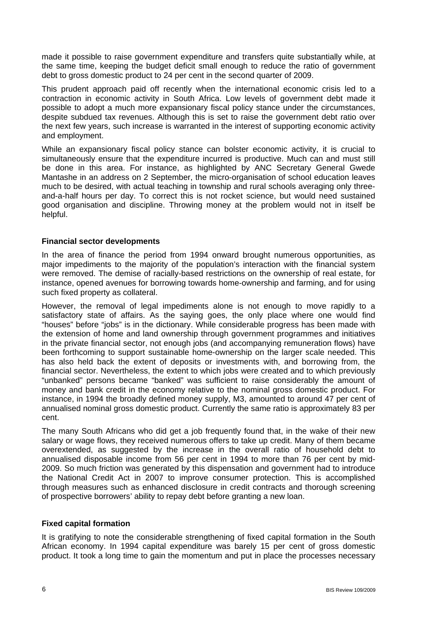made it possible to raise government expenditure and transfers quite substantially while, at the same time, keeping the budget deficit small enough to reduce the ratio of government debt to gross domestic product to 24 per cent in the second quarter of 2009.

This prudent approach paid off recently when the international economic crisis led to a contraction in economic activity in South Africa. Low levels of government debt made it possible to adopt a much more expansionary fiscal policy stance under the circumstances, despite subdued tax revenues. Although this is set to raise the government debt ratio over the next few years, such increase is warranted in the interest of supporting economic activity and employment.

While an expansionary fiscal policy stance can bolster economic activity, it is crucial to simultaneously ensure that the expenditure incurred is productive. Much can and must still be done in this area. For instance, as highlighted by ANC Secretary General Gwede Mantashe in an address on 2 September, the micro-organisation of school education leaves much to be desired, with actual teaching in township and rural schools averaging only threeand-a-half hours per day. To correct this is not rocket science, but would need sustained good organisation and discipline. Throwing money at the problem would not in itself be helpful.

### **Financial sector developments**

In the area of finance the period from 1994 onward brought numerous opportunities, as major impediments to the majority of the population's interaction with the financial system were removed. The demise of racially-based restrictions on the ownership of real estate, for instance, opened avenues for borrowing towards home-ownership and farming, and for using such fixed property as collateral.

However, the removal of legal impediments alone is not enough to move rapidly to a satisfactory state of affairs. As the saying goes, the only place where one would find "houses" before "jobs" is in the dictionary. While considerable progress has been made with the extension of home and land ownership through government programmes and initiatives in the private financial sector, not enough jobs (and accompanying remuneration flows) have been forthcoming to support sustainable home-ownership on the larger scale needed. This has also held back the extent of deposits or investments with, and borrowing from, the financial sector. Nevertheless, the extent to which jobs were created and to which previously "unbanked" persons became "banked" was sufficient to raise considerably the amount of money and bank credit in the economy relative to the nominal gross domestic product. For instance, in 1994 the broadly defined money supply, M3, amounted to around 47 per cent of annualised nominal gross domestic product. Currently the same ratio is approximately 83 per cent.

The many South Africans who did get a job frequently found that, in the wake of their new salary or wage flows, they received numerous offers to take up credit. Many of them became overextended, as suggested by the increase in the overall ratio of household debt to annualised disposable income from 56 per cent in 1994 to more than 76 per cent by mid-2009. So much friction was generated by this dispensation and government had to introduce the National Credit Act in 2007 to improve consumer protection. This is accomplished through measures such as enhanced disclosure in credit contracts and thorough screening of prospective borrowers' ability to repay debt before granting a new loan.

#### **Fixed capital formation**

It is gratifying to note the considerable strengthening of fixed capital formation in the South African economy. In 1994 capital expenditure was barely 15 per cent of gross domestic product. It took a long time to gain the momentum and put in place the processes necessary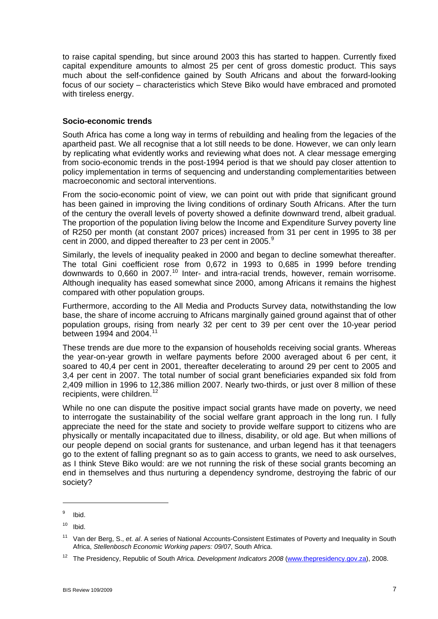to raise capital spending, but since around 2003 this has started to happen. Currently fixed capital expenditure amounts to almost 25 per cent of gross domestic product. This says much about the self-confidence gained by South Africans and about the forward-looking focus of our society – characteristics which Steve Biko would have embraced and promoted with tireless energy.

### **Socio-economic trends**

South Africa has come a long way in terms of rebuilding and healing from the legacies of the apartheid past. We all recognise that a lot still needs to be done. However, we can only learn by replicating what evidently works and reviewing what does not. A clear message emerging from socio-economic trends in the post-1994 period is that we should pay closer attention to policy implementation in terms of sequencing and understanding complementarities between macroeconomic and sectoral interventions.

From the socio-economic point of view, we can point out with pride that significant ground has been gained in improving the living conditions of ordinary South Africans. After the turn of the century the overall levels of poverty showed a definite downward trend, albeit gradual. The proportion of the population living below the Income and Expenditure Survey poverty line of R250 per month (at constant 2007 prices) increased from 31 per cent in 1995 to 38 per cent in 2000, and dipped thereafter to 23 per cent in 2005.<sup>[9](#page-6-0)</sup>

Similarly, the levels of inequality peaked in 2000 and began to decline somewhat thereafter. The total Gini coefficient rose from 0,672 in 1993 to 0,685 in 1999 before trending downwards to 0,660 in 2007.<sup>[10](#page-6-1)</sup> Inter- and intra-racial trends, however, remain worrisome. Although inequality has eased somewhat since 2000, among Africans it remains the highest compared with other population groups.

Furthermore, according to the All Media and Products Survey data, notwithstanding the low base, the share of income accruing to Africans marginally gained ground against that of other population groups, rising from nearly 32 per cent to 39 per cent over the 10-year period between 1994 and 2004.<sup>[11](#page-6-2)</sup>

These trends are due more to the expansion of households receiving social grants. Whereas the year-on-year growth in welfare payments before 2000 averaged about 6 per cent, it soared to 40,4 per cent in 2001, thereafter decelerating to around 29 per cent to 2005 and 3,4 per cent in 2007. The total number of social grant beneficiaries expanded six fold from 2,409 million in 1996 to 12,386 million 2007. Nearly two-thirds, or just over 8 million of these recipients, were children.<sup>[12](#page-6-3)</sup>

While no one can dispute the positive impact social grants have made on poverty, we need to interrogate the sustainability of the social welfare grant approach in the long run. I fully appreciate the need for the state and society to provide welfare support to citizens who are physically or mentally incapacitated due to illness, disability, or old age. But when millions of our people depend on social grants for sustenance, and urban legend has it that teenagers go to the extent of falling pregnant so as to gain access to grants, we need to ask ourselves, as I think Steve Biko would: are we not running the risk of these social grants becoming an end in themselves and thus nurturing a dependency syndrome, destroying the fabric of our society?

1

<span id="page-6-0"></span><sup>9</sup> Ibid.

<span id="page-6-1"></span> $10$  Ibid.

<span id="page-6-2"></span><sup>11</sup> Van der Berg, S., *et. al*. A series of National Accounts-Consistent Estimates of Poverty and Inequality in South Africa, *Stellenbosch Economic Working papers: 09/07*, South Africa.

<span id="page-6-3"></span><sup>12</sup> The Presidency, Republic of South Africa. *Development Indicators 2008* ([www.thepresidency.gov.za\)](http://www.thepresidency.gov.za/), 2008.